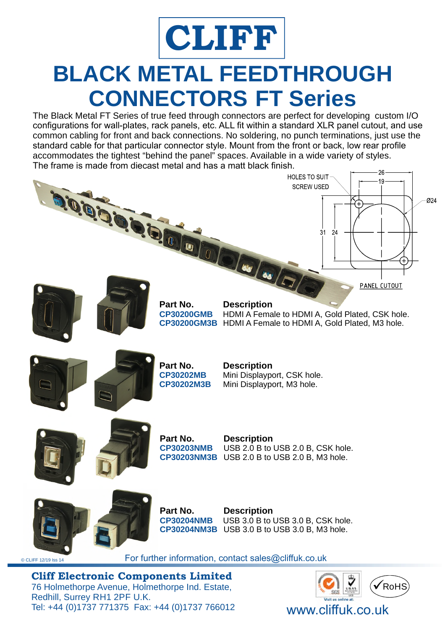

## **BLACK METAL FEEDTHROUGH CONNECTORS FT Series**

The Black Metal FT Series of true feed through connectors are perfect for developing custom I/O configurations for wall-plates, rack panels, etc. ALL fit within a standard XLR panel cutout, and use common cabling for front and back connections. No soldering, no punch terminations, just use the standard cable for that particular connector style. Mount from the front or back, low rear profile accommodates the tightest "behind the panel" spaces. Available in a wide variety of styles. The frame is made from diecast metal and has a matt black finish.



Redhill, Surrey RH1 2PF U.K. Tel: +44 (0)1737 771375 Fax: +44 (0)1737 766012 www.cliffuk.co.uk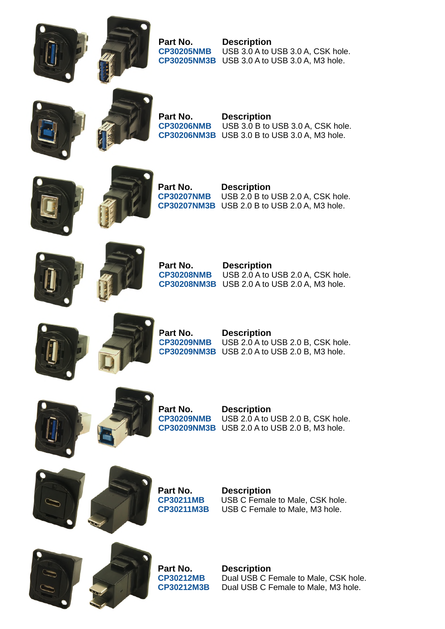



**CP30205NMB** USB 3.0 A to USB 3.0 A, CSK hole. **Part No. Description CP30205NM3B** USB 3.0 A to USB 3.0 A, M3 hole.





**Part No. Description CP30206NM3B** USB 3.0 B to USB 3.0 A, M3 hole. **CP30206NMB** USB 3.0 B to USB 3.0 A, CSK hole.





**CP30207NMB** USB 2.0 B to USB 2.0 A, CSK hole. **Part No. Description CP30207NM3B** USB 2.0 B to USB 2.0 A, M3 hole.





**Part No. Description CP30208NMB** USB 2.0 A to USB 2.0 A, CSK hole. **CP30208NM3B** USB 2.0 A to USB 2.0 A, M3 hole.





**Part No. Description**

**CP30209NMB** USB 2.0 A to USB 2.0 B, CSK hole. **CP30209NM3B** USB 2.0 A to USB 2.0 B, M3 hole.





**Part No. Description CP30209NM3B** USB 2.0 A to USB 2.0 B, M3 hole. **CP30209NMB** USB 2.0 A to USB 2.0 B, CSK hole.





**CP30211M3B** USB C Female to Male, M3 hole. **CP30211MB** USB C Female to Male, CSK hole. **Part No. Description**





**Part No. Description CP30212M3B** Dual USB C Female to Male, M3 hole. **CP30212MB** Dual USB C Female to Male, CSK hole.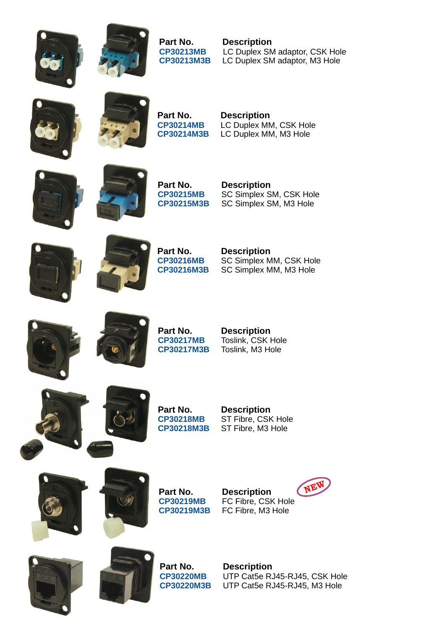



**CP30213MB** LC Duplex SM adaptor, CSK Hole **Part No. Description CP30213M3B** LC Duplex SM adaptor, M3 Hole





**CP30214M3B** LC Duplex MM, M3 Hole **CP30214MB** LC Duplex MM, CSK Hole **Part No. Description**









**CP30216M3B** SC Simplex MM, M3 Hole **Part No. Description<br>CP30216MB** SC Simplex M **SC Simplex MM, CSK Hole** 











**CP30218M3B** ST Fibre, M3 Hole **CP30218MB** ST Fibre, CSK Hole **Part No. Description**





**Part No. Description CP30219MB** FC Fibre, CSK Hole FC Fibre, M3 Hole





**Part No. Description<br>CP30220MB** UTP Cat5e R.

**CP30220M3B** UTP Cat5e RJ45-RJ45, M3 Hole UTP Cat5e RJ45-RJ45, CSK Hole

NEW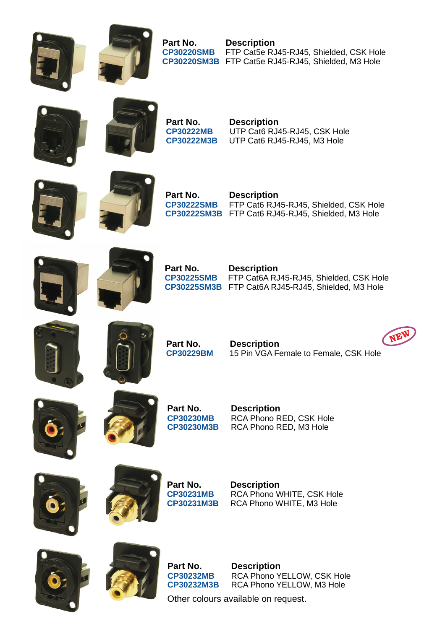



**CP30220SM3B** FTP Cat5e RJ45-RJ45, Shielded, M3 Hole **Part No. Description CP30220SMB** FTP Cat5e RJ45-RJ45, Shielded, CSK Hole





**CP30222M3B** UTP Cat6 RJ45-RJ45, M3 Hole **Part No. Description<br>CP30222MB** UTP Cat6 RJ4 UTP Cat6 RJ45-RJ45, CSK Hole





**CP30222SM3B** FTP Cat6 RJ45-RJ45, Shielded, M3 Hole **Part No. Description CP30222SMB** FTP Cat6 RJ45-RJ45, Shielded, CSK Hole





**CP30225SM3B** FTP Cat6A RJ45-RJ45, Shielded, M3 Hole **CP30225SMB** FTP Cat6A RJ45-RJ45, Shielded, CSK Hole **Part No. Description**





**Part No. Description CP30229BM** 15 Pin VGA Female to Female, CSK Hole







**Part No. Description CP30230MB** RCA Phono RED, CSK Hole **CP30230M3B** RCA Phono RED, M3 Hole





**CP30231MB** RCA Phono WHITE, CSK Hole **Part No. Description CP30231M3B** RCA Phono WHITE, M3 Hole





**CP30232M3B** RCA Phono YELLOW, M3 Hole **Part No. Description<br>CP30232MB** RCA Phono Y **RCA Phono YELLOW, CSK Hole** 

Other colours available on request.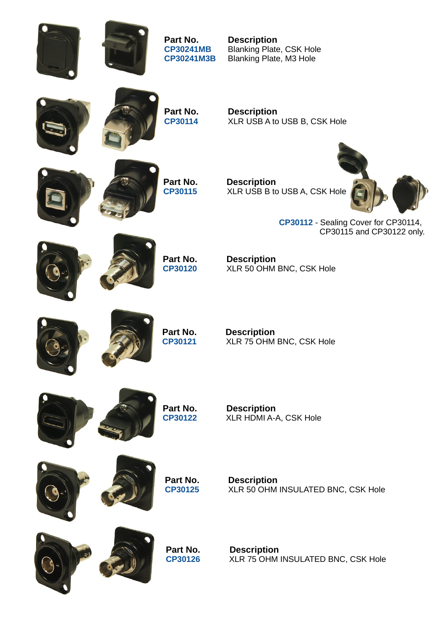**Part No. Description**

**CP30241MB** Blanking Plate, CSK Hole **CP30241M3B** Blanking Plate, M3 Hole





**Part No.** Description<br>CP30114 XLR USB A to **XLR USB A to USB B, CSK Hole** 

**Part No.** Description<br>CP30115 XLR USB B to **XLR USB B to USB A, CSK Hole** 



CP30115 and CP30122 only. CP30112 - Sealing Cover for CP30114,

**Part No. Description<br>CP30120** XLR 50 OHM XLR 50 OHM BNC, CSK Hole





**Part No. Description<br>CP30121** XLR 75 OHM **C 30121P** XLR 75 OHM BNC, CSK Hole





**Part No.** Description<br>CP30122 XLR HDMI A-**C 30122P** XLR HDMI A-A, CSK Hole



**Part No. Description<br>CP30125** XLR 50 OHM XLR 50 OHM INSULATED BNC, CSK Hole





**CP30126** XLR 75 OHM INSULATED BNC, CSK Hole **Part No. Description**